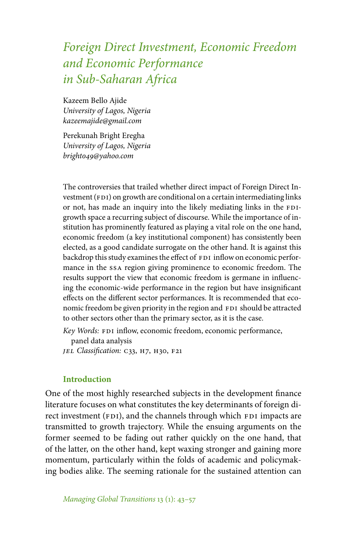# *Foreign Direct Investment, Economic Freedom and Economic Performance in Sub-Saharan Africa*

Kazeem Bello Ajide *University of Lagos, Nigeria kazeemajide@gmail.com*

Perekunah Bright Eregha *University of Lagos, Nigeria bright049@yahoo.com*

The controversies that trailed whether direct impact of Foreign Direct Investment (FDI) on growth are conditional on a certain intermediating links or not, has made an inquiry into the likely mediating links in the FDIgrowth space a recurring subject of discourse. While the importance of institution has prominently featured as playing a vital role on the one hand, economic freedom (a key institutional component) has consistently been elected, as a good candidate surrogate on the other hand. It is against this backdrop this study examines the effect of FDI inflow on economic performance in the ssa region giving prominence to economic freedom. The results support the view that economic freedom is germane in influencing the economic-wide performance in the region but have insignificant effects on the different sector performances. It is recommended that economic freedom be given priority in the region and FDI should be attracted to other sectors other than the primary sector, as it is the case.

*Key Words:* FDI inflow, economic freedom, economic performance,

panel data analysis

*jel Classification:* c33, h7, h30, f21

## **Introduction**

One of the most highly researched subjects in the development finance literature focuses on what constitutes the key determinants of foreign direct investment (FDI), and the channels through which FDI impacts are transmitted to growth trajectory. While the ensuing arguments on the former seemed to be fading out rather quickly on the one hand, that of the latter, on the other hand, kept waxing stronger and gaining more momentum, particularly within the folds of academic and policymaking bodies alike. The seeming rationale for the sustained attention can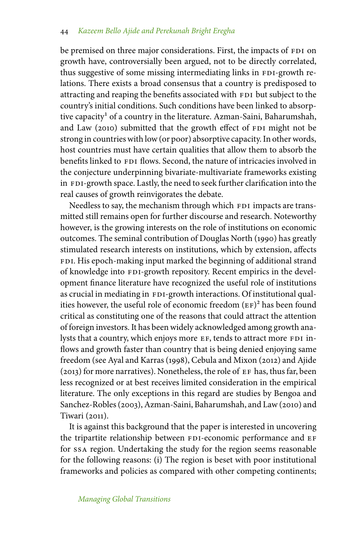be premised on three major considerations. First, the impacts of FDI on growth have, controversially been argued, not to be directly correlated, thus suggestive of some missing intermediating links in FDI-growth relations. There exists a broad consensus that a country is predisposed to attracting and reaping the benefits associated with FDI but subject to the country's initial conditions. Such conditions have been linked to absorptive capacity<sup>1</sup> of a country in the literature. Azman-Saini, Baharumshah, and Law (2010) submitted that the growth effect of FDI might not be strong in countries with low (or poor) absorptive capacity. In other words, host countries must have certain qualities that allow them to absorb the benefits linked to FDI flows. Second, the nature of intricacies involved in the conjecture underpinning bivariate-multivariate frameworks existing in FDI-growth space. Lastly, the need to seek further clarification into the real causes of growth reinvigorates the debate.

Needless to say, the mechanism through which FDI impacts are transmitted still remains open for further discourse and research. Noteworthy however, is the growing interests on the role of institutions on economic outcomes. The seminal contribution of Douglas North (1990) has greatly stimulated research interests on institutions, which by extension, affects FDI. His epoch-making input marked the beginning of additional strand of knowledge into FDI-growth repository. Recent empirics in the development finance literature have recognized the useful role of institutions as crucial in mediating in FDI-growth interactions. Of institutional qualities however, the useful role of economic freedom  $(EF)^2$  has been found critical as constituting one of the reasons that could attract the attention of foreign investors. It has been widely acknowledged among growth analysts that a country, which enjoys more EF, tends to attract more FDI inflows and growth faster than country that is being denied enjoying same freedom (see Ayal and Karras (1998), Cebula and Mixon (2012) and Ajide  $(2013)$  for more narratives). Nonetheless, the role of  $EF$  has, thus far, been less recognized or at best receives limited consideration in the empirical literature. The only exceptions in this regard are studies by Bengoa and Sanchez-Robles (2003), Azman-Saini, Baharumshah, and Law (2010) and Tiwari (2011).

It is against this background that the paper is interested in uncovering the tripartite relationship between FDI-economic performance and EF for ssa region. Undertaking the study for the region seems reasonable for the following reasons: (i) The region is beset with poor institutional frameworks and policies as compared with other competing continents;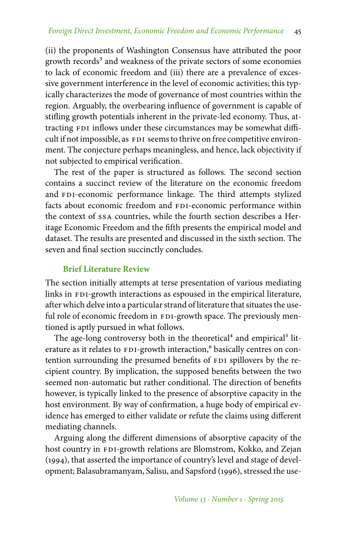(ii) the proponents of Washington Consensus have attributed the poor growth records<sup>3</sup> and weakness of the private sectors of some economies to lack of economic freedom and (iii) there are a prevalence of excessive government interference in the level of economic activities; this typically characterizes the mode of governance of most countries within the region. Arguably, the overbearing influence of government is capable of stifling growth potentials inherent in the private-led economy. Thus, attracting FDI inflows under these circumstances may be somewhat difficult if not impossible, as FDI seems to thrive on free competitive environment. The conjecture perhaps meaningless, and hence, lack objectivity if not subjected to empirical verification.

The rest of the paper is structured as follows. The second section contains a succinct review of the literature on the economic freedom and FDI-economic performance linkage. The third attempts stylized facts about economic freedom and FDI-economic performance within the context of ssa countries, while the fourth section describes a Heritage Economic Freedom and the fifth presents the empirical model and dataset. The results are presented and discussed in the sixth section. The seven and final section succinctly concludes.

#### **Brief Literature Review**

The section initially attempts at terse presentation of various mediating links in FDI-growth interactions as espoused in the empirical literature, after which delve into a particular strand of literature that situates the useful role of economic freedom in FDI-growth space. The previously mentioned is aptly pursued in what follows.

The age-long controversy both in the theoretical<sup>4</sup> and empirical<sup>5</sup> literature as it relates to FDI-growth interaction,<sup>6</sup> basically centres on contention surrounding the presumed benefits of FDI spillovers by the recipient country. By implication, the supposed benefits between the two seemed non-automatic but rather conditional. The direction of benefits however, is typically linked to the presence of absorptive capacity in the host environment. By way of confirmation, a huge body of empirical evidence has emerged to either validate or refute the claims using different mediating channels.

Arguing along the different dimensions of absorptive capacity of the host country in FDI-growth relations are Blomstrom, Kokko, and Zejan (1994), that asserted the importance of country's level and stage of development; Balasubramanyam, Salisu, and Sapsford (1996), stressed the use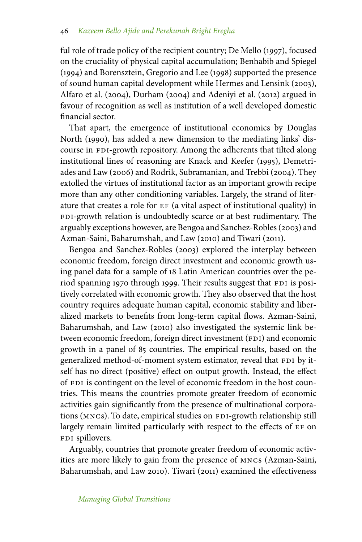ful role of trade policy of the recipient country; De Mello (1997), focused on the cruciality of physical capital accumulation; Benhabib and Spiegel (1994) and Borensztein, Gregorio and Lee (1998) supported the presence of sound human capital development while Hermes and Lensink (2003), Alfaro et al. (2004), Durham (2004) and Adeniyi et al. (2012) argued in favour of recognition as well as institution of a well developed domestic financial sector.

That apart, the emergence of institutional economics by Douglas North (1990), has added a new dimension to the mediating links' discourse in FDI-growth repository. Among the adherents that tilted along institutional lines of reasoning are Knack and Keefer (1995), Demetriades and Law (2006) and Rodrik, Subramanian, and Trebbi (2004). They extolled the virtues of institutional factor as an important growth recipe more than any other conditioning variables. Largely, the strand of literature that creates a role for ef (a vital aspect of institutional quality) in FDI-growth relation is undoubtedly scarce or at best rudimentary. The arguably exceptions however, are Bengoa and Sanchez-Robles (2003) and Azman-Saini, Baharumshah, and Law (2010) and Tiwari (2011).

Bengoa and Sanchez-Robles (2003) explored the interplay between economic freedom, foreign direct investment and economic growth using panel data for a sample of 18 Latin American countries over the period spanning 1970 through 1999. Their results suggest that FDI is positively correlated with economic growth. They also observed that the host country requires adequate human capital, economic stability and liberalized markets to benefits from long-term capital flows. Azman-Saini, Baharumshah, and Law (2010) also investigated the systemic link between economic freedom, foreign direct investment (FDI) and economic growth in a panel of 85 countries. The empirical results, based on the generalized method-of-moment system estimator, reveal that FDI by itself has no direct (positive) effect on output growth. Instead, the effect of FDI is contingent on the level of economic freedom in the host countries. This means the countries promote greater freedom of economic activities gain significantly from the presence of multinational corporations (MNCs). To date, empirical studies on FDI-growth relationship still largely remain limited particularly with respect to the effects of EF on FDI spillovers.

Arguably, countries that promote greater freedom of economic activities are more likely to gain from the presence of mncs (Azman-Saini, Baharumshah, and Law 2010). Tiwari (2011) examined the effectiveness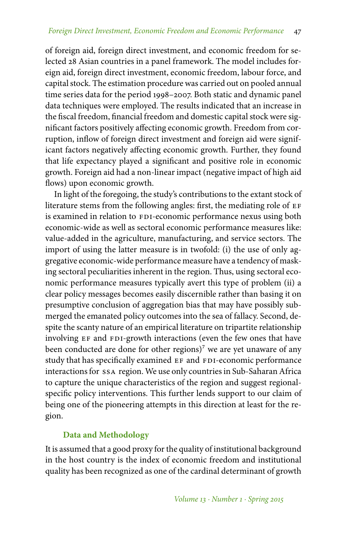of foreign aid, foreign direct investment, and economic freedom for selected 28 Asian countries in a panel framework. The model includes foreign aid, foreign direct investment, economic freedom, labour force, and capital stock. The estimation procedure was carried out on pooled annual time series data for the period 1998–2007. Both static and dynamic panel data techniques were employed. The results indicated that an increase in the fiscal freedom, financial freedom and domestic capital stock were significant factors positively affecting economic growth. Freedom from corruption, inflow of foreign direct investment and foreign aid were significant factors negatively affecting economic growth. Further, they found that life expectancy played a significant and positive role in economic growth. Foreign aid had a non-linear impact (negative impact of high aid flows) upon economic growth.

In light of the foregoing, the study's contributions to the extant stock of literature stems from the following angles: first, the mediating role of EF is examined in relation to FDI-economic performance nexus using both economic-wide as well as sectoral economic performance measures like: value-added in the agriculture, manufacturing, and service sectors. The import of using the latter measure is in twofold: (i) the use of only aggregative economic-wide performance measure have a tendency of masking sectoral peculiarities inherent in the region. Thus, using sectoral economic performance measures typically avert this type of problem (ii) a clear policy messages becomes easily discernible rather than basing it on presumptive conclusion of aggregation bias that may have possibly submerged the emanated policy outcomes into the sea of fallacy. Second, despite the scanty nature of an empirical literature on tripartite relationship involving EF and FDI-growth interactions (even the few ones that have been conducted are done for other regions)<sup>7</sup> we are yet unaware of any study that has specifically examined EF and FDI-economic performance interactions for ssa region. We use only countries in Sub-Saharan Africa to capture the unique characteristics of the region and suggest regionalspecific policy interventions. This further lends support to our claim of being one of the pioneering attempts in this direction at least for the region.

# **Data and Methodology**

It is assumed that a good proxy for the quality of institutional background in the host country is the index of economic freedom and institutional quality has been recognized as one of the cardinal determinant of growth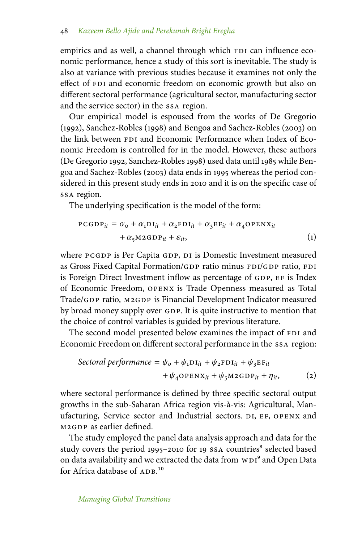empirics and as well, a channel through which FDI can influence economic performance, hence a study of this sort is inevitable. The study is also at variance with previous studies because it examines not only the effect of FDI and economic freedom on economic growth but also on different sectoral performance (agricultural sector, manufacturing sector and the service sector) in the ssa region.

Our empirical model is espoused from the works of De Gregorio (1992), Sanchez-Robles (1998) and Bengoa and Sachez-Robles (2003) on the link between FDI and Economic Performance when Index of Economic Freedom is controlled for in the model. However, these authors (De Gregorio 1992, Sanchez-Robles 1998) used data until 1985 while Bengoa and Sachez-Robles (2003) data ends in 1995 whereas the period considered in this present study ends in 2010 and it is on the specific case of ssa region.

The underlying specification is the model of the form:

$$
PCGDP_{it} = \alpha_0 + \alpha_1 DI_{it} + \alpha_2 FDI_{it} + \alpha_3 EF_{it} + \alpha_4 OPENX_{it}
$$
  
+  $\alpha_5 M2 GDP_{it} + \varepsilon_{it}$ , (1)

where PCGDP is Per Capita GDP, DI is Domestic Investment measured as Gross Fixed Capital Formation/GDP ratio minus FDI/GDP ratio, FDI is Foreign Direct Investment inflow as percentage of GDP, EF is Index of Economic Freedom, openx is Trade Openness measured as Total Trade/GDP ratio, M2GDP is Financial Development Indicator measured by broad money supply over GDP. It is quite instructive to mention that the choice of control variables is guided by previous literature.

The second model presented below examines the impact of FDI and Economic Freedom on different sectoral performance in the ssa region:

\n
$$
\text{Section 1} \quad \text{performance} = \psi_0 + \psi_1 \mathbf{D} \mathbf{I}_{it} + \psi_2 \mathbf{F} \mathbf{D} \mathbf{I}_{it} + \psi_3 \mathbf{E} \mathbf{F}_{it}
$$
\n
$$
+ \psi_4 \mathbf{O} \mathbf{P} \mathbf{E} \mathbf{N} \mathbf{X}_{it} + \psi_5 \mathbf{M} \mathbf{2} \mathbf{G} \mathbf{D} \mathbf{P}_{it} + \eta_{it},\n \tag{2}
$$
\n

where sectoral performance is defined by three specific sectoral output growths in the sub-Saharan Africa region vis-à-vis: Agricultural, Manufacturing, Service sector and Industrial sectors. DI, EF, OPENX and m2gdp as earlier defined.

The study employed the panel data analysis approach and data for the study covers the period 1995–2010 for 19 SSA countries<sup>8</sup> selected based on data availability and we extracted the data from WDI<sup>9</sup> and Open Data for Africa database of ADB.<sup>10</sup>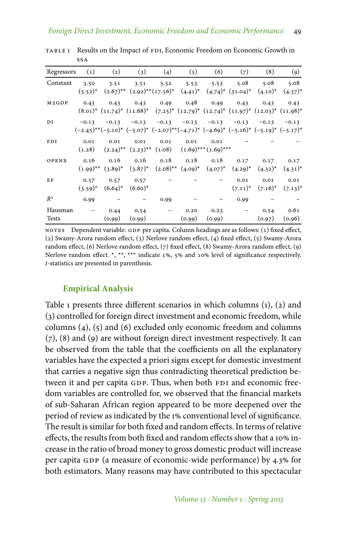| Regressors        | $\left( 1\right)$ | $\left( 2\right)$ | $\left( 3\right)$                                                                                           | (4)                      | (5)    | (6)                                     | (7)                      | (8)          | (9)          |
|-------------------|-------------------|-------------------|-------------------------------------------------------------------------------------------------------------|--------------------------|--------|-----------------------------------------|--------------------------|--------------|--------------|
| Constant          | 3.50              | 3.51              | 3.51                                                                                                        | 5.52                     | 5.53   | 5.53                                    | 5.08                     | 5.08         | 5.08         |
|                   | $(5.52)^{*}$      |                   | $(2.67)^{**}$ $(2.92)^{**}(17.56)^*$ $(4.41)^*$ $(4.74)^*$ $(31.04)^*$                                      |                          |        |                                         |                          | $(4.10)^*$   | $(4.37)^{*}$ |
| M <sub>2GDP</sub> | 0.43              | 0.43              | 0.43                                                                                                        | 0.49                     | 0.48   | 0.49                                    | 0.43                     | 0.43         | 0.43         |
|                   |                   |                   | $(8.01)^*$ $(11.74)^*$ $(11.68)^*$ $(7.25)^*$ $(12.79)^*$ $(12.74)^*$ $(11.97)^*$ $(12.03)^*$ $(11.98)^*$   |                          |        |                                         |                          |              |              |
| DI                | $-0.13$           |                   | $-0.13 -0.13$                                                                                               |                          |        | $-0.13$ $-0.13$ $-0.13$ $-0.13$ $-0.13$ |                          |              | $-0.13$      |
|                   |                   |                   | $(-2.45)^{**}(-5.10)^*$ $(-5.07)^*$ $(-2.07)^{**}(-4.71)^*$ $(-4.69)^*$ $(-5.16)^*$ $(-5.19)^*$ $(-5.17)^*$ |                          |        |                                         |                          |              |              |
| FDI               | 0.01              | 0.01              | 0.01                                                                                                        | 0.01                     | 0.01   | 0.01                                    |                          |              |              |
|                   | (1.28)            |                   | $(2.24)$ <sup>**</sup> $(2.23)$ <sup>**</sup> $(1.08)$ $(1.69)$ <sup>***</sup> $(1.69)$ <sup>***</sup>      |                          |        |                                         |                          |              |              |
| OPENX             | 0.16              | 0.16              | 0.16                                                                                                        | 0.18                     |        | $0.18$ $0.18$                           | 0.17                     | 0.17         | 0.17         |
|                   |                   |                   | $(1.99)^{**}$ $(3.89)^{*}$ $(3.87)^{*}$ $(2.08)^{**}$ $(4.09)^{*}$ $(4.07)^{*}$ $(4.29)^{*}$                |                          |        |                                         |                          | $(4.32)^{*}$ | $(4.31)^*$   |
| EF                | 0.57              | 0.57              | 0.57                                                                                                        |                          |        |                                         | 0.01                     | 0.01         | 0.01         |
|                   | $(3.59)^{*}$      | $(6.64)^*$        | $(6.60)^*$                                                                                                  |                          |        |                                         | $(7.11)^*$               | $(7.16)^*$   | $(7.13)^*$   |
| $R^2$             | 0.99              |                   |                                                                                                             | 0.99                     |        |                                         | 0.99                     |              |              |
| Hausman           |                   | 0.44              | 0.54                                                                                                        | $\overline{\phantom{m}}$ | 0.20   | 0.23                                    | $\overline{\phantom{a}}$ | 0.54         | 0.61         |
| <b>Tests</b>      |                   | (0.99)            | (0.99)                                                                                                      |                          | (0.99) | (0.99)                                  |                          | (0.97)       | (0.96)       |

TABLE 1 Results on the Impact of FDI, Economic Freedom on Economic Growth in ssa

NOTES Dependent variable: GDP per capita. Column headings are as follows: (1) fixed effect, (2) Swamy-Arora random effect,  $(3)$  Nerlove random effect,  $(4)$  fixed effect,  $(5)$  Swamy-Arora random effect,  $(6)$  Nerlove random effect,  $(7)$  fixed effect,  $(8)$  Swamy-Arora random effect,  $(9)$ Nerlove random effect. \*, \*\*, \*\*\* indicate 1%, 5% and 10% level of significance respectively. *t*-statistics are presented in parenthesis.

## **Empirical Analysis**

Table 1 presents three different scenarios in which columns (1), (2) and (3) controlled for foreign direct investment and economic freedom, while columns (4), (5) and (6) excluded only economic freedom and columns (7), (8) and (9) are without foreign direct investment respectively. It can be observed from the table that the coefficients on all the explanatory variables have the expected a priori signs except for domestic investment that carries a negative sign thus contradicting theoretical prediction between it and per capita GDP. Thus, when both FDI and economic freedom variables are controlled for, we observed that the financial markets of sub-Saharan African region appeared to be more deepened over the period of review as indicated by the 1% conventional level of significance. The result is similar for both fixed and random effects. In terms of relative effects, the results from both fixed and random effects show that a 10% increase in the ratio of broad money to gross domestic product will increase per capita GDP (a measure of economic-wide performance) by 4.3% for both estimators. Many reasons may have contributed to this spectacular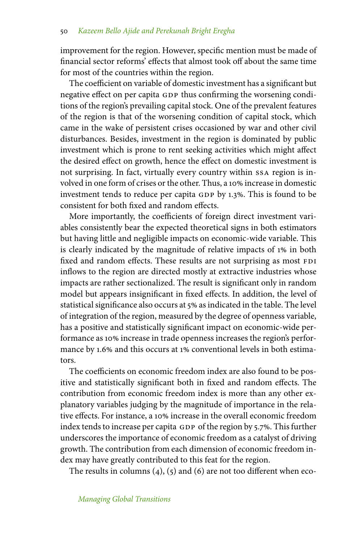improvement for the region. However, specific mention must be made of financial sector reforms' effects that almost took off about the same time for most of the countries within the region.

The coefficient on variable of domestic investment has a significant but negative effect on per capita GDP thus confirming the worsening conditions of the region's prevailing capital stock. One of the prevalent features of the region is that of the worsening condition of capital stock, which came in the wake of persistent crises occasioned by war and other civil disturbances. Besides, investment in the region is dominated by public investment which is prone to rent seeking activities which might affect the desired effect on growth, hence the effect on domestic investment is not surprising. In fact, virtually every country within ssa region is involved in one form of crises or the other. Thus, a 10% increase in domestic investment tends to reduce per capita GDP by 1.3%. This is found to be consistent for both fixed and random effects.

More importantly, the coefficients of foreign direct investment variables consistently bear the expected theoretical signs in both estimators but having little and negligible impacts on economic-wide variable. This is clearly indicated by the magnitude of relative impacts of 1% in both fixed and random effects. These results are not surprising as most FDI inflows to the region are directed mostly at extractive industries whose impacts are rather sectionalized. The result is significant only in random model but appears insignificant in fixed effects. In addition, the level of statistical significance also occurs at 5% as indicated in the table. The level of integration of the region, measured by the degree of openness variable, has a positive and statistically significant impact on economic-wide performance as 10% increase in trade openness increases the region's performance by 1.6% and this occurs at 1% conventional levels in both estimators.

The coefficients on economic freedom index are also found to be positive and statistically significant both in fixed and random effects. The contribution from economic freedom index is more than any other explanatory variables judging by the magnitude of importance in the relative effects. For instance, a 10% increase in the overall economic freedom index tends to increase per capita GDP of the region by 5.7%. This further underscores the importance of economic freedom as a catalyst of driving growth. The contribution from each dimension of economic freedom index may have greatly contributed to this feat for the region.

The results in columns  $(4)$ ,  $(5)$  and  $(6)$  are not too different when eco-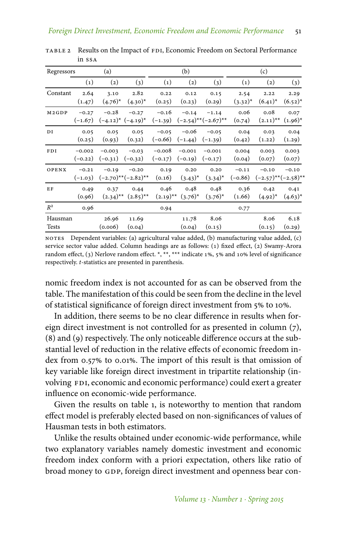| Regressors        |                       | (a)                   |                                                       |                       | (b)                   |                                      |                      | (c)                                  |                      |  |
|-------------------|-----------------------|-----------------------|-------------------------------------------------------|-----------------------|-----------------------|--------------------------------------|----------------------|--------------------------------------|----------------------|--|
|                   | $\left( 1\right)$     | (2)                   | (3)                                                   | $\left( 1\right)$     | $\left( 2\right)$     | (3)                                  | $\left( 1\right)$    | $\left( 2\right)$                    | (3)                  |  |
| Constant          | 2.64<br>(1.47)        | 3.10<br>$(4.76)^*$    | 2.82<br>$(4.30)^*$                                    | 0.22<br>(0.25)        | 0.12<br>(0.23)        | 0.15<br>(0.29)                       | 2.54<br>$(3.32)^{*}$ | 2.22<br>$(6.41)^*$                   | 2.29<br>$(6.52)^{*}$ |  |
| M <sub>2GDP</sub> | $-0.27$<br>$(-1.67)$  | $-0.28$               | $-0.27$<br>$(-4.12)^*$ $(-4.19)^*$                    | $-0.16$<br>$(-1.39)$  | $-0.14$               | $-1.14$<br>$(-2.54)$ ** $(-2.67)$ ** | 0.06<br>(0.74)       | 0.08<br>$(2.11)$ <sup>**</sup>       | 0.07<br>$(1.96)^{*}$ |  |
| DI                | 0.05<br>(0.25)        | 0.05<br>(0.93)        | 0.05<br>(0.32)                                        | $-0.05$<br>$(-0.66)$  | $-0.06$<br>$(-1.44)$  | $-0.05$<br>$(-1.39)$                 | 0.04<br>(0.42)       | 0.03<br>(1.22)                       | 0.04<br>(1.29)       |  |
| FDI               | $-0.002$<br>$(-0.22)$ | $-0.003$<br>$(-0.31)$ | $-0.03$<br>$(-0.32)$                                  | $-0.008$<br>$(-0.17)$ | $-0.001$<br>$(-0.19)$ | $-0.001$<br>$(-0.17)$                | 0.004<br>(0.04)      | 0.003<br>(0.07)                      | 0.003<br>(0.07)      |  |
| OPENX             | $-0.21$<br>$(-1.03)$  | $-0.19$               | $-0.20$<br>$(-2.70)$ ** $(-2.82)$ **                  | 0.19<br>(0.16)        | 0.20<br>$(3.43)^*$    | 0.20<br>$(3.34)^{*}$                 | $-0.11$<br>$(-0.86)$ | $-0.10$<br>$(-2.57)$ ** $(-2.58)$ ** | $-0.10$              |  |
| EF                | 0.49<br>(0.96)        | 0.37                  | 0.44<br>$(2.34)$ <sup>**</sup> $(2.85)$ <sup>**</sup> | 0.46<br>$(2.19)$ **   | 0.48<br>$(3.76)^*$    | 0.48<br>$(3.76)^{*}$                 | 0.36<br>(1.66)       | 0.42<br>$(4.92)^{*}$                 | 0.41<br>$(4.63)^*$   |  |
| $R^2$             | 0.96                  |                       |                                                       | 0.94                  |                       |                                      | 0.77                 |                                      |                      |  |
| Hausman<br>Tests  |                       | 26.96<br>(0.006)      | 11.69<br>(0.04)                                       |                       | 11.78<br>(0.04)       | 8.06<br>(0.15)                       |                      | 8.06<br>(0.15)                       | 6.18<br>(0.29)       |  |

TABLE 2 Results on the Impact of FDI, Economic Freedom on Sectoral Performance in ssa

notes Dependent variables: (a) agricultural value added, (b) manufacturing value added, (c) service sector value added. Column headings are as follows: (1) fixed effect, (2) Swamy-Arora random effect, (3) Nerlove random effect. \*, \*\*, \*\*\* indicate 1%, 5% and 10% level of significance respectively. *t*-statistics are presented in parenthesis.

nomic freedom index is not accounted for as can be observed from the table. The manifestation of this could be seen from the decline in the level of statistical significance of foreign direct investment from 5% to 10%.

In addition, there seems to be no clear difference in results when foreign direct investment is not controlled for as presented in column (7), (8) and (9) respectively. The only noticeable difference occurs at the substantial level of reduction in the relative effects of economic freedom index from 0.57% to 0.01%. The import of this result is that omission of key variable like foreign direct investment in tripartite relationship (involving FDI, economic and economic performance) could exert a greater influence on economic-wide performance.

Given the results on table 1, is noteworthy to mention that random effect model is preferably elected based on non-significances of values of Hausman tests in both estimators.

Unlike the results obtained under economic-wide performance, while two explanatory variables namely domestic investment and economic freedom index conform with a priori expectation, others like ratio of broad money to GDP, foreign direct investment and openness bear con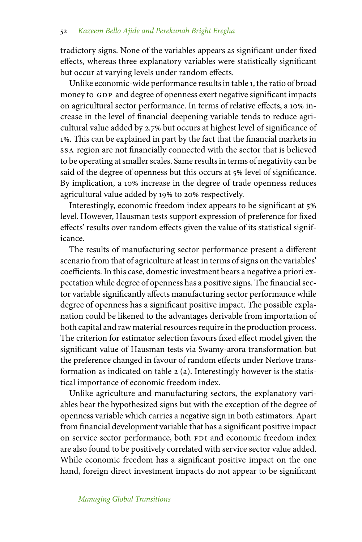tradictory signs. None of the variables appears as significant under fixed effects, whereas three explanatory variables were statistically significant but occur at varying levels under random effects.

Unlike economic-wide performance results in table 1, the ratio of broad money to GDP and degree of openness exert negative significant impacts on agricultural sector performance. In terms of relative effects, a 10% increase in the level of financial deepening variable tends to reduce agricultural value added by 2.7% but occurs at highest level of significance of 1. This can be explained in part by the fact that the financial markets in ssa region are not financially connected with the sector that is believed to be operating at smaller scales. Same results in terms of negativity can be said of the degree of openness but this occurs at 5% level of significance. By implication, a 10% increase in the degree of trade openness reduces agricultural value added by 19% to 20% respectively.

Interestingly, economic freedom index appears to be significant at 5 level. However, Hausman tests support expression of preference for fixed effects' results over random effects given the value of its statistical significance.

The results of manufacturing sector performance present a different scenario from that of agriculture at least in terms of signs on the variables' coefficients. In this case, domestic investment bears a negative a priori expectation while degree of openness has a positive signs. The financial sector variable significantly affects manufacturing sector performance while degree of openness has a significant positive impact. The possible explanation could be likened to the advantages derivable from importation of both capital and raw material resources require in the production process. The criterion for estimator selection favours fixed effect model given the significant value of Hausman tests via Swamy-arora transformation but the preference changed in favour of random effects under Nerlove transformation as indicated on table 2 (a). Interestingly however is the statistical importance of economic freedom index.

Unlike agriculture and manufacturing sectors, the explanatory variables bear the hypothesized signs but with the exception of the degree of openness variable which carries a negative sign in both estimators. Apart from financial development variable that has a significant positive impact on service sector performance, both FDI and economic freedom index are also found to be positively correlated with service sector value added. While economic freedom has a significant positive impact on the one hand, foreign direct investment impacts do not appear to be significant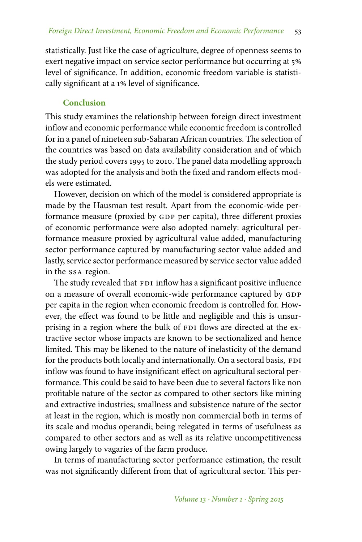statistically. Just like the case of agriculture, degree of openness seems to exert negative impact on service sector performance but occurring at 5% level of significance. In addition, economic freedom variable is statistically significant at a 1% level of significance.

## **Conclusion**

This study examines the relationship between foreign direct investment inflow and economic performance while economic freedom is controlled for in a panel of nineteen sub-Saharan African countries. The selection of the countries was based on data availability consideration and of which the study period covers 1995 to 2010. The panel data modelling approach was adopted for the analysis and both the fixed and random effects models were estimated.

However, decision on which of the model is considered appropriate is made by the Hausman test result. Apart from the economic-wide performance measure (proxied by GDP per capita), three different proxies of economic performance were also adopted namely: agricultural performance measure proxied by agricultural value added, manufacturing sector performance captured by manufacturing sector value added and lastly, service sector performance measured by service sector value added in the ssa region.

The study revealed that FDI inflow has a significant positive influence on a measure of overall economic-wide performance captured by GDP per capita in the region when economic freedom is controlled for. However, the effect was found to be little and negligible and this is unsurprising in a region where the bulk of FDI flows are directed at the extractive sector whose impacts are known to be sectionalized and hence limited. This may be likened to the nature of inelasticity of the demand for the products both locally and internationally. On a sectoral basis, FDI inflow was found to have insignificant effect on agricultural sectoral performance. This could be said to have been due to several factors like non profitable nature of the sector as compared to other sectors like mining and extractive industries; smallness and subsistence nature of the sector at least in the region, which is mostly non commercial both in terms of its scale and modus operandi; being relegated in terms of usefulness as compared to other sectors and as well as its relative uncompetitiveness owing largely to vagaries of the farm produce.

In terms of manufacturing sector performance estimation, the result was not significantly different from that of agricultural sector. This per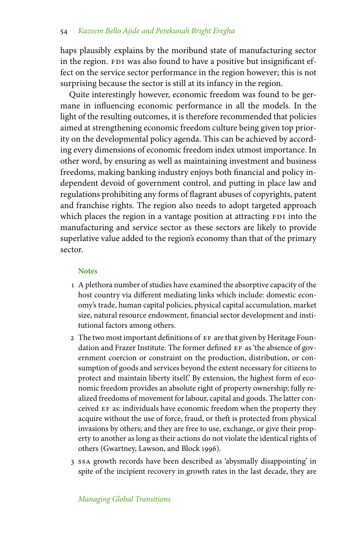haps plausibly explains by the moribund state of manufacturing sector in the region. FDI was also found to have a positive but insignificant effect on the service sector performance in the region however; this is not surprising because the sector is still at its infancy in the region.

Quite interestingly however, economic freedom was found to be germane in influencing economic performance in all the models. In the light of the resulting outcomes, it is therefore recommended that policies aimed at strengthening economic freedom culture being given top priority on the developmental policy agenda. This can be achieved by according every dimensions of economic freedom index utmost importance. In other word, by ensuring as well as maintaining investment and business freedoms, making banking industry enjoys both financial and policy independent devoid of government control, and putting in place law and regulations prohibiting any forms of flagrant abuses of copyrights, patent and franchise rights. The region also needs to adopt targeted approach which places the region in a vantage position at attracting FDI into the manufacturing and service sector as these sectors are likely to provide superlative value added to the region's economy than that of the primary sector.

### **Notes**

- 1 A plethora number of studies have examined the absorptive capacity of the host country via different mediating links which include: domestic economy's trade, human capital policies, physical capital accumulation, market size, natural resource endowment, financial sector development and institutional factors among others.
- 2 The two most important definitions of EF are that given by Heritage Foundation and Frazer Institute. The former defined EF as 'the absence of government coercion or constraint on the production, distribution, or consumption of goods and services beyond the extent necessary for citizens to protect and maintain liberty itself.' By extension, the highest form of economic freedom provides an absolute right of property ownership; fully realized freedoms of movement for labour, capital and goods. The latter conceived EF as: individuals have economic freedom when the property they acquire without the use of force, fraud, or theft is protected from physical invasions by others; and they are free to use, exchange, or give their property to another as long as their actions do not violate the identical rights of others (Gwartney, Lawson, and Block 1996).
- 3 ssa growth records have been described as 'abysmally disappointing' in spite of the incipient recovery in growth rates in the last decade, they are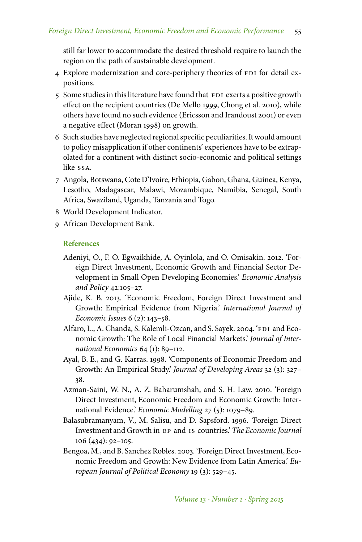still far lower to accommodate the desired threshold require to launch the region on the path of sustainable development.

- 4 Explore modernization and core-periphery theories of FDI for detail expositions.
- 5 Some studies in this literature have found that FDI exerts a positive growth effect on the recipient countries (De Mello 1999, Chong et al. 2010), while others have found no such evidence (Ericsson and Irandoust 2001) or even a negative effect (Moran 1998) on growth.
- 6 Such studies have neglected regional specific peculiarities. It would amount to policy misapplication if other continents' experiences have to be extrapolated for a continent with distinct socio-economic and political settings like ssa.
- 7 Angola, Botswana, Cote D'Ivoire, Ethiopia, Gabon, Ghana, Guinea, Kenya, Lesotho, Madagascar, Malawi, Mozambique, Namibia, Senegal, South Africa, Swaziland, Uganda, Tanzania and Togo.
- 8 World Development Indicator.
- 9 African Development Bank.

#### **References**

- Adeniyi, O., F. O. Egwaikhide, A. Oyinlola, and O. Omisakin. 2012. 'Foreign Direct Investment, Economic Growth and Financial Sector Development in Small Open Developing Economies.' *Economic Analysis and Policy* 42:105–27.
- Ajide, K. B. 2013. 'Economic Freedom, Foreign Direct Investment and Growth: Empirical Evidence from Nigeria.' *International Journal of Economic Issues* 6 (2): 143–58.
- Alfaro, L., A. Chanda, S. Kalemli-Ozcan, and S. Sayek. 2004. 'FDI and Economic Growth: The Role of Local Financial Markets.' *Journal of International Economics* 64 (1): 89–112.
- Ayal, B. E., and G. Karras. 1998. 'Components of Economic Freedom and Growth: An Empirical Study.' *Journal of Developing Areas* 32 (3): 327– 38.
- Azman-Saini, W. N., A. Z. Baharumshah, and S. H. Law. 2010. 'Foreign Direct Investment, Economic Freedom and Economic Growth: International Evidence.' *Economic Modelling* 27 (5): 1079–89.
- Balasubramanyam, V., M. Salisu, and D. Sapsford. 1996. 'Foreign Direct Investment and Growth in ep and is countries.' *The Economic Journal* 106 (434): 92–105.
- Bengoa, M., and B. Sanchez Robles. 2003. 'Foreign Direct Investment, Economic Freedom and Growth: New Evidence from Latin America.' *European Journal of Political Economy* 19 (3): 529–45.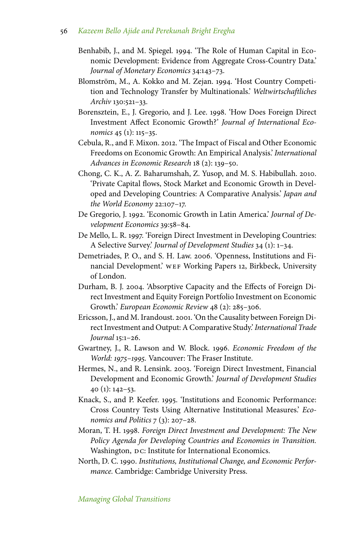- Benhabib, J., and M. Spiegel. 1994. 'The Role of Human Capital in Economic Development: Evidence from Aggregate Cross-Country Data.' *Journal of Monetary Economics* 34:143–73.
- Blomström, M., A. Kokko and M. Zejan. 1994. 'Host Country Competition and Technology Transfer by Multinationals.' *Weltwirtschaftliches Archiv* 130:521–33.
- Borensztein, E., J. Gregorio, and J. Lee. 1998. 'How Does Foreign Direct Investment Affect Economic Growth?' *Journal of International Economics* 45 (1): 115–35.
- Cebula, R., and F. Mixon. 2012. 'The Impact of Fiscal and Other Economic Freedoms on Economic Growth: An Empirical Analysis.' *International Advances in Economic Research* 18 (2): 139–50.
- Chong, C. K., A. Z. Baharumshah, Z. Yusop, and M. S. Habibullah. 2010. 'Private Capital flows, Stock Market and Economic Growth in Developed and Developing Countries: A Comparative Analysis.' *Japan and the World Economy* 22:107–17.
- De Gregorio, J. 1992. 'Economic Growth in Latin America.' *Journal of Development Economics* 39:58–84.
- De Mello, L. R. 1997. 'Foreign Direct Investment in Developing Countries: A Selective Survey.' *Journal of Development Studies* 34 (1): 1–34.
- Demetriades, P. O., and S. H. Law. 2006. 'Openness, Institutions and Financial Development.' wEF Working Papers 12, Birkbeck, University of London.
- Durham, B. J. 2004. 'Absorptive Capacity and the Effects of Foreign Direct Investment and Equity Foreign Portfolio Investment on Economic Growth.' *European Economic Review* 48 (2): 285–306.
- Ericsson, J., and M. Irandoust. 2001. 'On the Causality between Foreign Direct Investment and Output: A Comparative Study.'*International Trade Journal* 15:1–26.
- Gwartney, J., R. Lawson and W. Block. 1996. *Economic Freedom of the World: 1975–1995.* Vancouver: The Fraser Institute.
- Hermes, N., and R. Lensink. 2003. 'Foreign Direct Investment, Financial Development and Economic Growth.' *Journal of Development Studies* 40 (1): 142–53.
- Knack, S., and P. Keefer. 1995. 'Institutions and Economic Performance: Cross Country Tests Using Alternative Institutional Measures.' *Economics and Politics* 7 (3): 207–28.
- Moran, T. H. 1998. *Foreign Direct Investment and Development: The New Policy Agenda for Developing Countries and Economies in Transition.* Washington, DC: Institute for International Economics.
- North, D. C. 1990. *Institutions, Institutional Change, and Economic Performance.* Cambridge: Cambridge University Press.